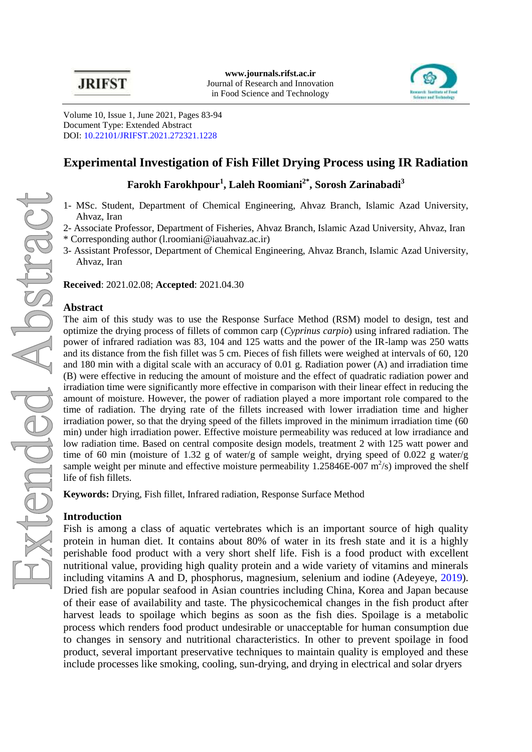

Volume 10, Issue 1, June 2021, Pages 83-94 Document Type: Extended Abstract DOI: [10.22101/JRIFST.2021.272321.1228](https://dx.doi.org/10.22101/jrifst.2021.272321.1228)

# **Experimental Investigation of Fish Fillet Drying Process using IR Radiation**

**Farokh Farokhpour<sup>1</sup> , Laleh Roomiani2\*, Sorosh Zarinabadi<sup>3</sup>**

- 1- MSc. Student, Department of Chemical Engineering, Ahvaz Branch, Islamic Azad University, Ahvaz, Iran
- 2- Associate Professor, Department of Fisheries, Ahvaz Branch, Islamic Azad University, Ahvaz, Iran
- \* Corresponding author [\(l.roomiani@iauahvaz.ac.ir\)](mailto:l.roomiani@iauahvaz.ac.ir)
- 3- Assistant Professor, Department of Chemical Engineering, Ahvaz Branch, Islamic Azad University, Ahvaz, Iran

**Received**: 2021.02.08; **Accepted**: 2021.04.30

### **Abstract**

The aim of this study was to use the Response Surface Method (RSM) model to design, test and optimize the drying process of fillets of common carp (*Cyprinus carpio*) using infrared radiation. The power of infrared radiation was 83, 104 and 125 watts and the power of the IR-lamp was 250 watts and its distance from the fish fillet was 5 cm. Pieces of fish fillets were weighed at intervals of 60, 120 and 180 min with a digital scale with an accuracy of 0.01 g. Radiation power (A) and irradiation time (B) were effective in reducing the amount of moisture and the effect of quadratic radiation power and irradiation time were significantly more effective in comparison with their linear effect in reducing the amount of moisture. However, the power of radiation played a more important role compared to the time of radiation. The drying rate of the fillets increased with lower irradiation time and higher irradiation power, so that the drying speed of the fillets improved in the minimum irradiation time (60 min) under high irradiation power. Effective moisture permeability was reduced at low irradiance and low radiation time. Based on central composite design models, treatment 2 with 125 watt power and time of 60 min (moisture of 1.32 g of water/g of sample weight, drying speed of 0.022 g water/g sample weight per minute and effective moisture permeability  $1.25846E-007$  m<sup>2</sup>/s) improved the shelf life of fish fillets.

**Keywords:** Drying, Fish fillet, Infrared radiation, Response Surface Method

### **Introduction**

Fish is among a class of aquatic vertebrates which is an important source of high quality protein in human diet. It contains about 80% of water in its fresh state and it is a highly perishable food product with a very short shelf life. Fish is a food product with excellent nutritional value, providing high quality protein and a wide variety of vitamins and minerals including vitamins A and D, phosphorus, magnesium, selenium and iodine [\(Adeyeye, 2019\)](#page-4-0). Dried fish are popular seafood in Asian countries including China, Korea and Japan because of their ease of availability and taste. The physicochemical changes in the fish product after harvest leads to spoilage which begins as soon as the fish dies. Spoilage is a metabolic process which renders food product undesirable or unacceptable for human consumption due to changes in sensory and nutritional characteristics. In other to prevent spoilage in food product, several important preservative techniques to maintain quality is employed and these include processes like smoking, cooling, sun-drying, and drying in electrical and solar dryers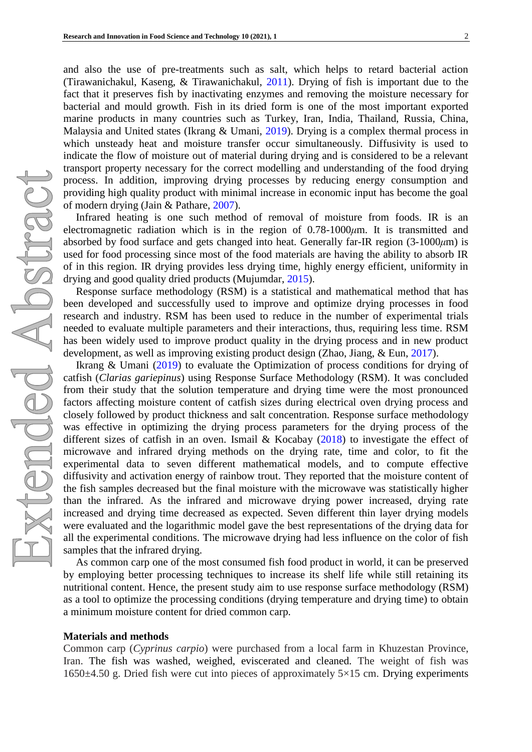and also the use of pre-treatments such as salt, which helps to retard bacterial action [\(Tirawanichakul, Kaseng, & Tirawanichakul,](#page-5-0) 2011). Drying of fish is important due to the fact that it preserves fish by inactivating enzymes and removing the moisture necessary for bacterial and mould growth. Fish in its dried form is one of the most important exported marine products in many countries such as Turkey, Iran, India, Thailand, Russia, China, Malaysia and United states [\(Ikrang & Umani, 2019\)](#page-4-1). Drying is a complex thermal process in which unsteady heat and moisture transfer occur simultaneously. Diffusivity is used to indicate the flow of moisture out of material during drying and is considered to be a relevant transport property necessary for the correct modelling and understanding of the food drying process. In addition, improving drying processes by reducing energy consumption and providing high quality product with minimal increase in economic input has become the goal of modern drying [\(Jain & Pathare, 2007\)](#page-5-1).

Infrared heating is one such method of removal of moisture from foods. IR is an electromagnetic radiation which is in the region of 0.78-1000*μ*m. It is transmitted and absorbed by food surface and gets changed into heat. Generally far-IR region (3-1000*μ*m) is used for food processing since most of the food materials are having the ability to absorb IR of in this region. IR drying provides less drying time, highly energy efficient, uniformity in drying and good quality dried products [\(Mujumdar, 2015\)](#page-5-2).

Response surface methodology (RSM) is a statistical and mathematical method that has been developed and successfully used to improve and optimize drying processes in food research and industry. RSM has been used to reduce in the number of experimental trials needed to evaluate multiple parameters and their interactions, thus, requiring less time. RSM has been widely used to improve product quality in the drying process and in new product development, as well as improving existing product design [\(Zhao, Jiang, & Eun, 2017\)](#page-5-3).

[Ikrang & Umani](#page-4-1) (2019) to evaluate the Optimization of process conditions for drying of catfish (*Clarias gariepinus*) using Response Surface Methodology (RSM). It was concluded from their study that the solution temperature and drying time were the most pronounced factors affecting moisture content of catfish sizes during electrical oven drying process and closely followed by product thickness and salt concentration. Response surface methodology was effective in optimizing the drying process parameters for the drying process of the different sizes of catfish in an oven. [Ismail & Kocabay](#page-4-2)  $(2018)$  to investigate the effect of microwave and infrared drying methods on the drying rate, time and color, to fit the experimental data to seven different mathematical models, and to compute effective diffusivity and activation energy of rainbow trout. They reported that the moisture content of the fish samples decreased but the final moisture with the microwave was statistically higher than the infrared. As the infrared and microwave drying power increased, drying rate increased and drying time decreased as expected. Seven different thin layer drying models were evaluated and the logarithmic model gave the best representations of the drying data for all the experimental conditions. The microwave drying had less influence on the color of fish samples that the infrared drying.

As common carp one of the most consumed fish food product in world, it can be preserved by employing better processing techniques to increase its shelf life while still retaining its nutritional content. Hence, the present study aim to use response surface methodology (RSM) as a tool to optimize the processing conditions (drying temperature and drying time) to obtain a minimum moisture content for dried common carp.

#### **Materials and methods**

Common carp (*Cyprinus carpio*) were purchased from a local farm in Khuzestan Province, Iran. The fish was washed, weighed, eviscerated and cleaned. The weight of fish was  $1650±4.50$  g. Dried fish were cut into pieces of approximately  $5\times15$  cm. Drying experiments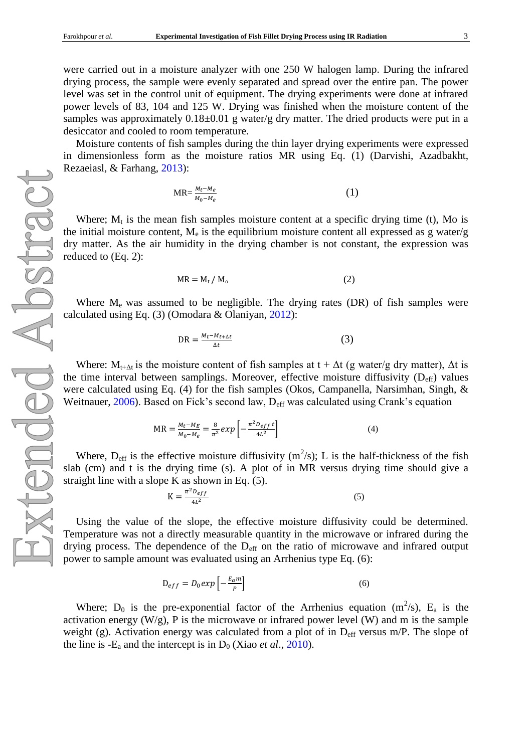were carried out in a moisture analyzer with one 250 W halogen lamp. During the infrared drying process, the sample were evenly separated and spread over the entire pan. The power level was set in the control unit of equipment. The drying experiments were done at infrared power levels of 83, 104 and 125 W. Drying was finished when the moisture content of the samples was approximately  $0.18\pm0.01$  g water/g dry matter. The dried products were put in a desiccator and cooled to room temperature.

Moisture contents of fish samples during the thin layer drying experiments were expressed in dimensionless form as the moisture ratios MR using Eq. (1) [\(Darvishi, Azadbakht,](#page-4-3)  [Rezaeiasl, & Farhang,](#page-4-3) 2013):

$$
MR = \frac{M_t - M_e}{M_0 - M_e} \tag{1}
$$

Where;  $M_t$  is the mean fish samples moisture content at a specific drying time (t), Mo is the initial moisture content,  $M_e$  is the equilibrium moisture content all expressed as g water/g dry matter. As the air humidity in the drying chamber is not constant, the expression was reduced to (Eq. 2):

$$
MR = M_t / M_o \tag{2}
$$

Where  $M_e$  was assumed to be negligible. The drying rates (DR) of fish samples were calculated using Eq. (3) [\(Omodara & Olaniyan,](#page-5-4) 2012):

$$
DR = \frac{M_t - M_{t + \Delta t}}{\Delta t} \tag{3}
$$

Where:  $M_{t+\Delta t}$  is the moisture content of fish samples at  $t + \Delta t$  (g water/g dry matter),  $\Delta t$  is the time interval between samplings. Moreover, effective moisture diffusivity  $(D_{\text{eff}})$  values were calculated using Eq. (4) for the fish samples [\(Okos, Campanella, Narsimhan, Singh, &](#page-5-5)  [Weitnauer, 2006\)](#page-5-5). Based on Fick's second law, D<sub>eff</sub> was calculated using Crank's equation

$$
MR = \frac{M_t - M_E}{M_0 - M_e} = \frac{8}{\pi^2} exp\left[ -\frac{\pi^2 D_{eff} t}{4L^2} \right]
$$
(4)

Where,  $D_{\text{eff}}$  is the effective moisture diffusivity (m<sup>2</sup>/s); L is the half-thickness of the fish slab (cm) and t is the drying time (s). A plot of in MR versus drying time should give a straight line with a slope K as shown in Eq. (5).

$$
K = \frac{\pi^2 D_{eff}}{4L^2} \tag{5}
$$

Using the value of the slope, the effective moisture diffusivity could be determined. Temperature was not a directly measurable quantity in the microwave or infrared during the drying process. The dependence of the  $D_{\text{eff}}$  on the ratio of microwave and infrared output power to sample amount was evaluated using an Arrhenius type Eq. (6):

$$
D_{eff} = D_0 exp \left[ -\frac{E_a m}{P} \right] \tag{6}
$$

Where;  $D_0$  is the pre-exponential factor of the Arrhenius equation (m<sup>2</sup>/s), E<sub>a</sub> is the activation energy  $(W/g)$ , P is the microwave or infrared power level  $(W)$  and m is the sample weight (g). Activation energy was calculated from a plot of in  $D_{\text{eff}}$  versus m/P. The slope of the line is  $-E_a$  and the intercept is in  $D_0$  (Xiao *et al.*, 2010).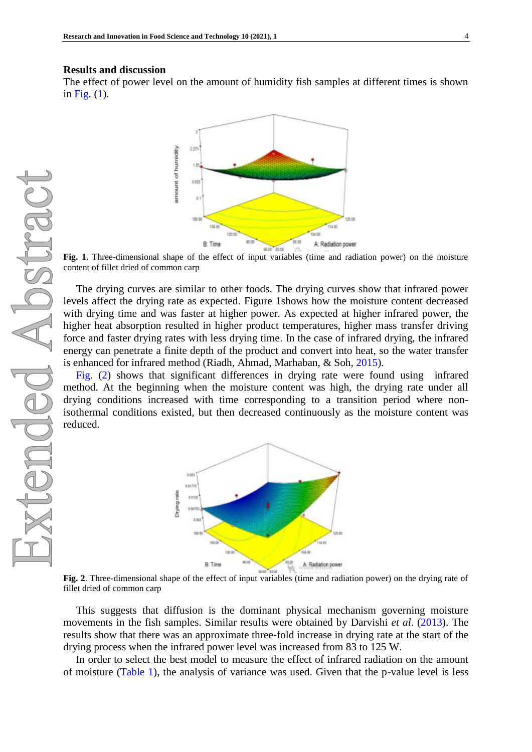### **Results and discussion**

<span id="page-3-0"></span>The effect of power level on the amount of humidity fish samples at different times is shown in [Fig.](#page-3-0) (1).



**Fig. 1**. Three-dimensional shape of the effect of input variables (time and radiation power) on the moisture content of fillet dried of common carp

The drying curves are similar to other foods. The drying curves show that infrared power levels affect the drying rate as expected. Figure 1shows how the moisture content decreased with drying time and was faster at higher power. As expected at higher infrared power, the higher heat absorption resulted in higher product temperatures, higher mass transfer driving force and faster drying rates with less drying time. In the case of infrared drying, the infrared energy can penetrate a finite depth of the product and convert into heat, so the water transfer is enhanced for infrared method [\(Riadh, Ahmad, Marhaban, & Soh,](#page-5-7) 2015).

<span id="page-3-1"></span>[Fig.](#page-3-1) (2) shows that significant differences in drying rate were found using infrared method. At the beginning when the moisture content was high, the drying rate under all drying conditions increased with time corresponding to a transition period where nonisothermal conditions existed, but then decreased continuously as the moisture content was reduced.



**Fig. 2**. Three-dimensional shape of the effect of input variables (time and radiation power) on the drying rate of fillet dried of common carp

This suggests that diffusion is the dominant physical mechanism governing moisture movements in the fish samples. Similar results were obtained by [Darvishi](#page-4-3) *et al*. (2013). The results show that there was an approximate three-fold increase in drying rate at the start of the drying process when the infrared power level was increased from 83 to 125 W.

In order to select the best model to measure the effect of infrared radiation on the amount of moisture [\(Table 1\)](#page-4-4), the analysis of variance was used. Given that the p-value level is less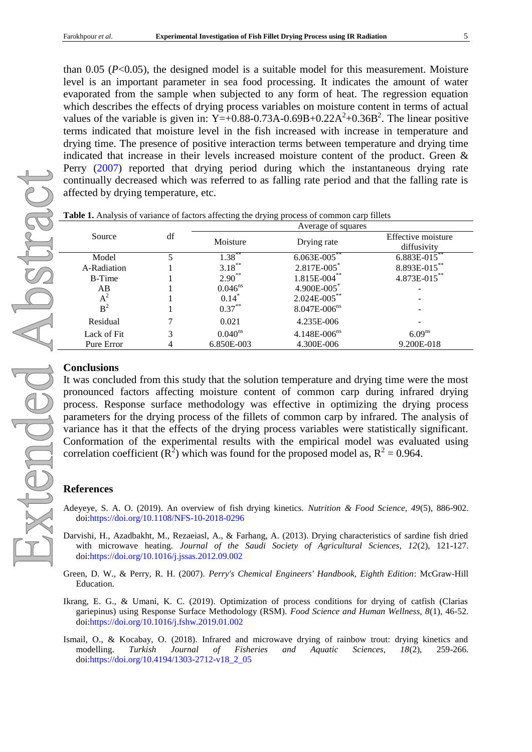than 0.05 (*P*<0.05), the designed model is a suitable model for this measurement. Moisture level is an important parameter in sea food processing. It indicates the amount of water evaporated from the sample when subjected to any form of heat. The regression equation which describes the effects of drying process variables on moisture content in terms of actual values of the variable is given in: Y=+0.88-0.73A-0.69B+0.22A<sup>2</sup>+0.36B<sup>2</sup>. The linear positive terms indicated that moisture level in the fish increased with increase in temperature and drying time. The presence of positive interaction terms between temperature and drying time indicated that increase in their levels increased moisture content of the product. [Green &](#page-4-5)  Perry [\(2007\)](#page-4-5) reported that drying period during which the instantaneous drying rate continually decreased which was referred to as falling rate period and that the falling rate is affected by drying temperature, etc.

| Source         | df | Average of squares |                              |                    |
|----------------|----|--------------------|------------------------------|--------------------|
|                |    | Moisture           | Drying rate                  | Effective moisture |
|                |    |                    |                              | diffusivity        |
| Model          |    | $1.38$ **          | $6.063E - 005$               | $6.883E - 015$     |
| A-Radiation    |    | $3.18***$          | $2.817E - 005$               | 8.893E-015**       |
| <b>B-Time</b>  |    | $2.90**$           | $1.815E-004$ **              | $4.873E-015$ **    |
| AB             |    | $0.046^{ns}$       | 4.900E-005*                  |                    |
| $A^2$          |    | $0.14*$            | $2.024E - 005$ **            |                    |
| B <sup>2</sup> |    | $0.37***$          | $8.047E - 006$ <sup>ns</sup> |                    |
| Residual       |    | 0.021              | 4.235E-006                   |                    |
| Lack of Fit    | 3  | $0.040^{ns}$       | $4.148E - 006$ <sup>ns</sup> | 6.09 <sup>ns</sup> |
| Pure Error     |    | 6.850E-003         | 4.300E-006                   | 9.200E-018         |

<span id="page-4-4"></span>**Table 1.** Analysis of variance of factors affecting the drying process of common carp fillets

## **Conclusions**

It was concluded from this study that the solution temperature and drying time were the most pronounced factors affecting moisture content of common carp during infrared drying process. Response surface methodology was effective in optimizing the drying process parameters for the drying process of the fillets of common carp by infrared. The analysis of variance has it that the effects of the drying process variables were statistically significant. Conformation of the experimental results with the empirical model was evaluated using correlation coefficient ( $\mathbb{R}^2$ ) which was found for the proposed model as,  $\mathbb{R}^2 = 0.964$ .

#### **References**

- <span id="page-4-0"></span>Adeyeye, S. A. O. (2019). An overview of fish drying kinetics. *Nutrition & Food Science, 49*(5), 886-902. doi[:https://doi.org/10.1108/NFS-10-2018-0296](https://doi.org/10.1108/NFS-10-2018-0296)
- <span id="page-4-3"></span>Darvishi, H., Azadbakht, M., Rezaeiasl, A., & Farhang, A. (2013). Drying characteristics of sardine fish dried with microwave heating. *Journal of the Saudi Society of Agricultural Sciences, 12*(2), 121-127. doi[:https://doi.org/10.1016/j.jssas.2012.09.002](https://doi.org/10.1016/j.jssas.2012.09.002)
- <span id="page-4-5"></span>Green, D. W., & Perry, R. H. (2007). *Perry's Chemical Engineers' Handbook, Eighth Edition*: McGraw-Hill Education.
- <span id="page-4-1"></span>Ikrang, E. G., & Umani, K. C. (2019). Optimization of process conditions for drying of catfish (Clarias gariepinus) using Response Surface Methodology (RSM). *Food Science and Human Wellness, 8*(1), 46-52. doi[:https://doi.org/10.1016/j.fshw.2019.01.002](https://doi.org/10.1016/j.fshw.2019.01.002)
- <span id="page-4-2"></span>Ismail, O., & Kocabay, O. (2018). Infrared and microwave drying of rainbow trout: drying kinetics and modelling. *Turkish Journal of Fisheries and Aquatic Sciences, 18*(2), 259-266. doi[:https://doi.org/10.4194/1303-2712-v18\\_2\\_05](https://doi.org/10.4194/1303-2712-v18_2_05)